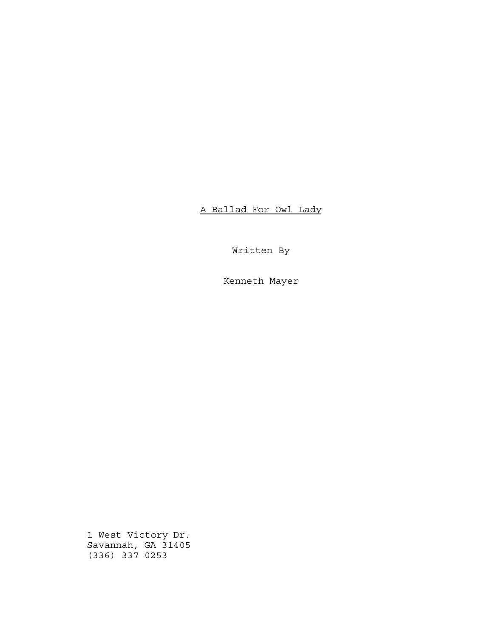A Ballad For Owl Lady

Written By

Kenneth Mayer

1 West Victory Dr. Savannah, GA 31405 (336) 337 0253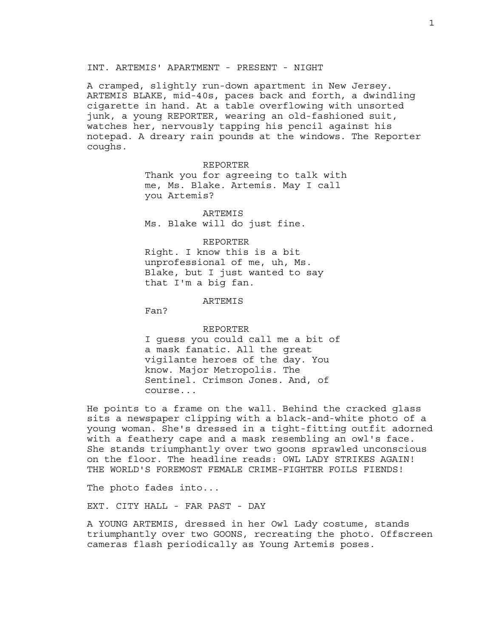#### INT. ARTEMIS' APARTMENT - PRESENT - NIGHT

A cramped, slightly run-down apartment in New Jersey. ARTEMIS BLAKE, mid-40s, paces back and forth, a dwindling cigarette in hand. At a table overflowing with unsorted junk, a young REPORTER, wearing an old-fashioned suit, watches her, nervously tapping his pencil against his notepad. A dreary rain pounds at the windows. The Reporter coughs.

> REPORTER Thank you for agreeing to talk with me, Ms. Blake. Artemis. May I call you Artemis?

ARTEMIS Ms. Blake will do just fine.

REPORTER Right. I know this is a bit unprofessional of me, uh, Ms. Blake, but I just wanted to say that I'm a big fan.

#### ARTEMIS

Fan?

REPORTER I guess you could call me a bit of a mask fanatic. All the great vigilante heroes of the day. You know. Major Metropolis. The Sentinel. Crimson Jones. And, of course...

He points to a frame on the wall. Behind the cracked glass sits a newspaper clipping with a black-and-white photo of a young woman. She's dressed in a tight-fitting outfit adorned with a feathery cape and a mask resembling an owl's face. She stands triumphantly over two goons sprawled unconscious on the floor. The headline reads: OWL LADY STRIKES AGAIN! THE WORLD'S FOREMOST FEMALE CRIME-FIGHTER FOILS FIENDS!

The photo fades into...

EXT. CITY HALL - FAR PAST - DAY

A YOUNG ARTEMIS, dressed in her Owl Lady costume, stands triumphantly over two GOONS, recreating the photo. Offscreen cameras flash periodically as Young Artemis poses.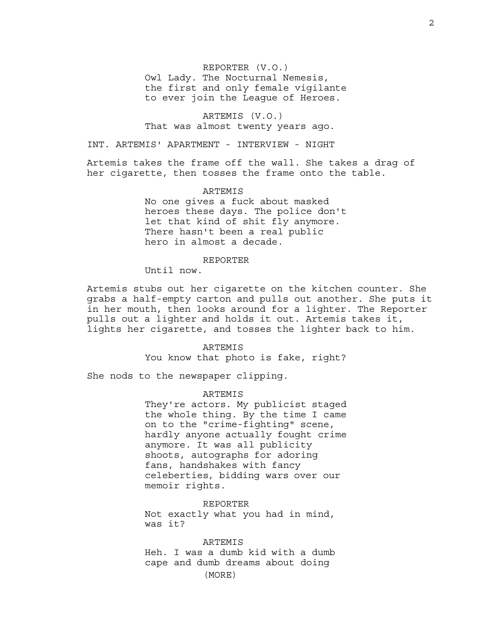#### REPORTER (V.O.)

Owl Lady. The Nocturnal Nemesis, the first and only female vigilante to ever join the League of Heroes.

ARTEMIS (V.O.) That was almost twenty years ago.

INT. ARTEMIS' APARTMENT - INTERVIEW - NIGHT

Artemis takes the frame off the wall. She takes a drag of her cigarette, then tosses the frame onto the table.

### ARTEMIS

No one gives a fuck about masked heroes these days. The police don't let that kind of shit fly anymore. There hasn't been a real public hero in almost a decade.

### REPORTER

Until now.

Artemis stubs out her cigarette on the kitchen counter. She grabs a half-empty carton and pulls out another. She puts it in her mouth, then looks around for a lighter. The Reporter pulls out a lighter and holds it out. Artemis takes it, lights her cigarette, and tosses the lighter back to him.

> **ARTEMIS** You know that photo is fake, right?

She nods to the newspaper clipping.

#### ARTEMIS

They're actors. My publicist staged the whole thing. By the time I came on to the "crime-fighting" scene, hardly anyone actually fought crime anymore. It was all publicity shoots, autographs for adoring fans, handshakes with fancy celeberties, bidding wars over our memoir rights.

REPORTER Not exactly what you had in mind, was it?

#### ARTEMIS

Heh. I was a dumb kid with a dumb cape and dumb dreams about doing (MORE)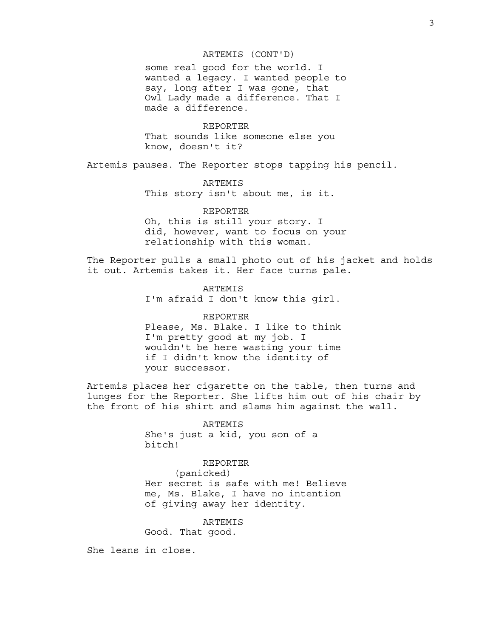#### ARTEMIS (CONT'D)

some real good for the world. I wanted a legacy. I wanted people to say, long after I was gone, that Owl Lady made a difference. That I made a difference.

REPORTER That sounds like someone else you know, doesn't it?

Artemis pauses. The Reporter stops tapping his pencil.

### ARTEMIS

This story isn't about me, is it.

### REPORTER

Oh, this is still your story. I did, however, want to focus on your relationship with this woman.

The Reporter pulls a small photo out of his jacket and holds it out. Artemis takes it. Her face turns pale.

## ARTEMIS

I'm afraid I don't know this girl.

#### REPORTER

Please, Ms. Blake. I like to think I'm pretty good at my job. I wouldn't be here wasting your time if I didn't know the identity of your successor.

Artemis places her cigarette on the table, then turns and lunges for the Reporter. She lifts him out of his chair by the front of his shirt and slams him against the wall.

> ARTEMIS She's just a kid, you son of a bitch!

### REPORTER

(panicked) Her secret is safe with me! Believe me, Ms. Blake, I have no intention of giving away her identity.

### ARTEMIS

Good. That good.

She leans in close.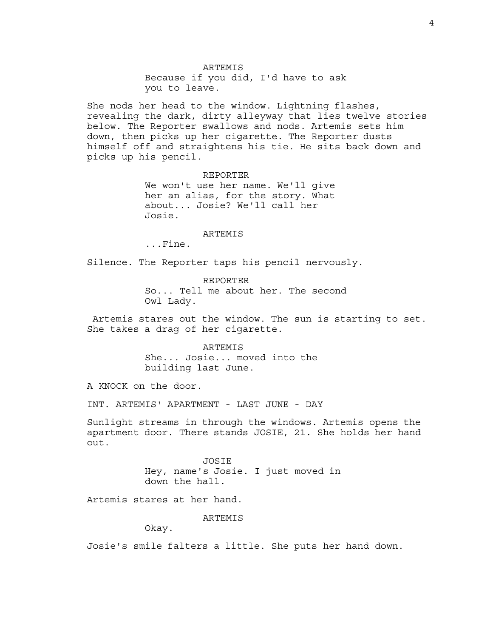ARTEMIS Because if you did, I'd have to ask you to leave.

She nods her head to the window. Lightning flashes, revealing the dark, dirty alleyway that lies twelve stories below. The Reporter swallows and nods. Artemis sets him down, then picks up her cigarette. The Reporter dusts himself off and straightens his tie. He sits back down and picks up his pencil.

REPORTER

We won't use her name. We'll give her an alias, for the story. What about... Josie? We'll call her Josie.

#### ARTEMIS

...Fine.

Silence. The Reporter taps his pencil nervously.

REPORTER So... Tell me about her. The second Owl Lady.

 Artemis stares out the window. The sun is starting to set. She takes a drag of her cigarette.

> **ARTEMIS** She... Josie... moved into the building last June.

A KNOCK on the door.

INT. ARTEMIS' APARTMENT - LAST JUNE - DAY

Sunlight streams in through the windows. Artemis opens the apartment door. There stands JOSIE, 21. She holds her hand out.

> JOSIE Hey, name's Josie. I just moved in down the hall.

Artemis stares at her hand.

ARTEMIS

Okay.

Josie's smile falters a little. She puts her hand down.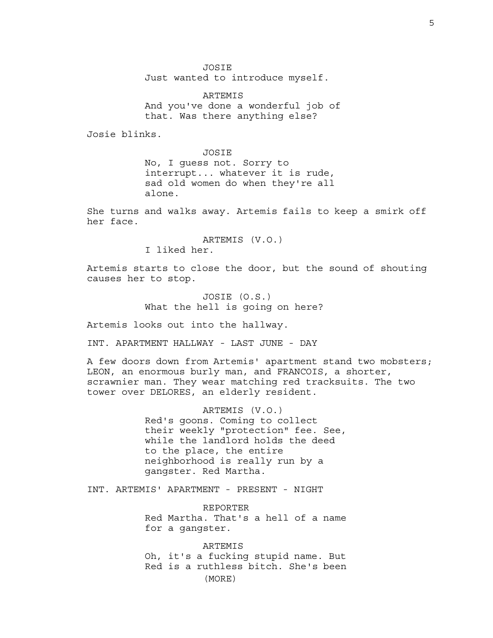JOSIE Just wanted to introduce myself.

ARTEMIS And you've done a wonderful job of that. Was there anything else?

Josie blinks.

JOSIE No, I guess not. Sorry to interrupt... whatever it is rude, sad old women do when they're all alone.

She turns and walks away. Artemis fails to keep a smirk off her face.

> ARTEMIS (V.O.) I liked her.

Artemis starts to close the door, but the sound of shouting causes her to stop.

> JOSIE (O.S.) What the hell is going on here?

Artemis looks out into the hallway.

INT. APARTMENT HALLWAY - LAST JUNE - DAY

A few doors down from Artemis' apartment stand two mobsters; LEON, an enormous burly man, and FRANCOIS, a shorter, scrawnier man. They wear matching red tracksuits. The two tower over DELORES, an elderly resident.

> ARTEMIS (V.O.) Red's goons. Coming to collect their weekly "protection" fee. See, while the landlord holds the deed to the place, the entire neighborhood is really run by a gangster. Red Martha.

INT. ARTEMIS' APARTMENT - PRESENT - NIGHT

REPORTER Red Martha. That's a hell of a name for a gangster.

ARTEMIS Oh, it's a fucking stupid name. But Red is a ruthless bitch. She's been (MORE)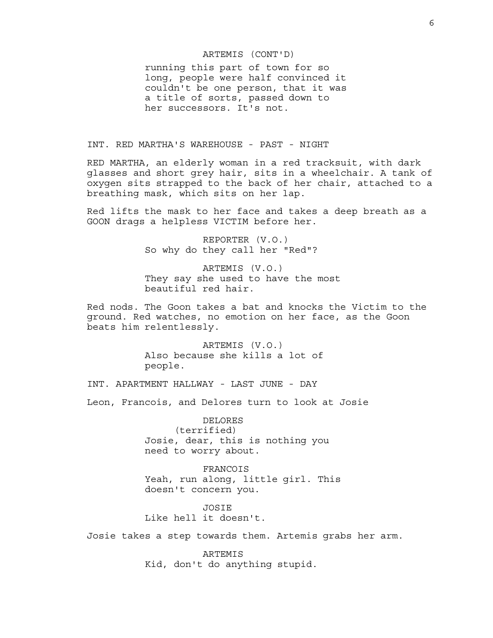#### ARTEMIS (CONT'D)

running this part of town for so long, people were half convinced it couldn't be one person, that it was a title of sorts, passed down to her successors. It's not.

#### INT. RED MARTHA'S WAREHOUSE - PAST - NIGHT

RED MARTHA, an elderly woman in a red tracksuit, with dark glasses and short grey hair, sits in a wheelchair. A tank of oxygen sits strapped to the back of her chair, attached to a breathing mask, which sits on her lap.

Red lifts the mask to her face and takes a deep breath as a GOON drags a helpless VICTIM before her.

> REPORTER (V.O.) So why do they call her "Red"?

ARTEMIS (V.O.) They say she used to have the most beautiful red hair.

Red nods. The Goon takes a bat and knocks the Victim to the ground. Red watches, no emotion on her face, as the Goon beats him relentlessly.

> ARTEMIS (V.O.) Also because she kills a lot of people.

INT. APARTMENT HALLWAY - LAST JUNE - DAY

Leon, Francois, and Delores turn to look at Josie

DELORES (terrified) Josie, dear, this is nothing you need to worry about.

FRANCOIS Yeah, run along, little girl. This doesn't concern you.

JOSIE Like hell it doesn't.

Josie takes a step towards them. Artemis grabs her arm.

ARTEMIS Kid, don't do anything stupid.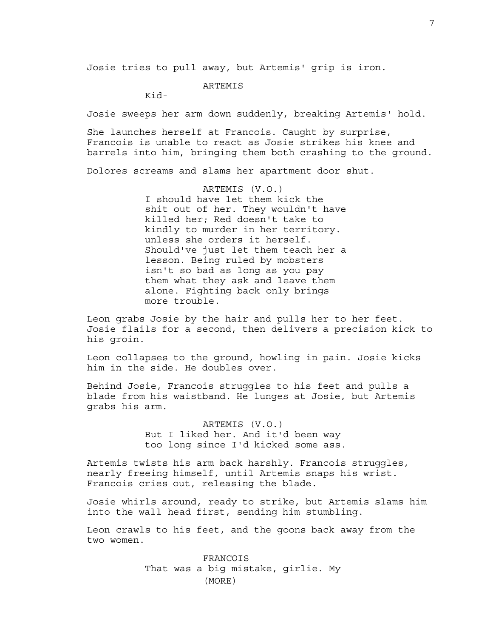Josie tries to pull away, but Artemis' grip is iron.

### ARTEMIS

Kid-

Josie sweeps her arm down suddenly, breaking Artemis' hold.

She launches herself at Francois. Caught by surprise, Francois is unable to react as Josie strikes his knee and barrels into him, bringing them both crashing to the ground.

Dolores screams and slams her apartment door shut.

ARTEMIS (V.O.) I should have let them kick the shit out of her. They wouldn't have killed her; Red doesn't take to kindly to murder in her territory. unless she orders it herself. Should've just let them teach her a lesson. Being ruled by mobsters isn't so bad as long as you pay them what they ask and leave them alone. Fighting back only brings more trouble.

Leon grabs Josie by the hair and pulls her to her feet. Josie flails for a second, then delivers a precision kick to his groin.

Leon collapses to the ground, howling in pain. Josie kicks him in the side. He doubles over.

Behind Josie, Francois struggles to his feet and pulls a blade from his waistband. He lunges at Josie, but Artemis grabs his arm.

> ARTEMIS (V.O.) But I liked her. And it'd been way too long since I'd kicked some ass.

Artemis twists his arm back harshly. Francois struggles, nearly freeing himself, until Artemis snaps his wrist. Francois cries out, releasing the blade.

Josie whirls around, ready to strike, but Artemis slams him into the wall head first, sending him stumbling.

Leon crawls to his feet, and the goons back away from the two women.

> FRANCOIS That was a big mistake, girlie. My (MORE)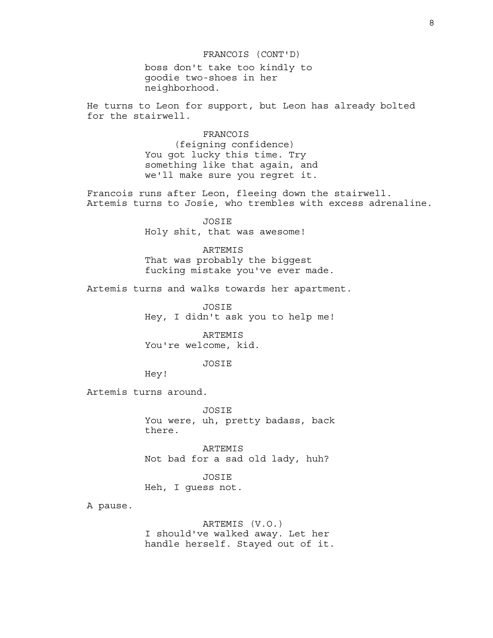#### FRANCOIS (CONT'D)

boss don't take too kindly to goodie two-shoes in her neighborhood.

He turns to Leon for support, but Leon has already bolted for the stairwell.

> FRANCOIS (feigning confidence) You got lucky this time. Try something like that again, and we'll make sure you regret it.

Francois runs after Leon, fleeing down the stairwell. Artemis turns to Josie, who trembles with excess adrenaline.

> JOSIE Holy shit, that was awesome!

ARTEMIS That was probably the biggest fucking mistake you've ever made.

Artemis turns and walks towards her apartment.

JOSIE Hey, I didn't ask you to help me!

ARTEMIS You're welcome, kid.

JOSIE

Hey!

Artemis turns around.

JOSIE You were, uh, pretty badass, back there.

ARTEMIS Not bad for a sad old lady, huh?

JOSIE Heh, I guess not.

A pause.

ARTEMIS (V.O.) I should've walked away. Let her handle herself. Stayed out of it.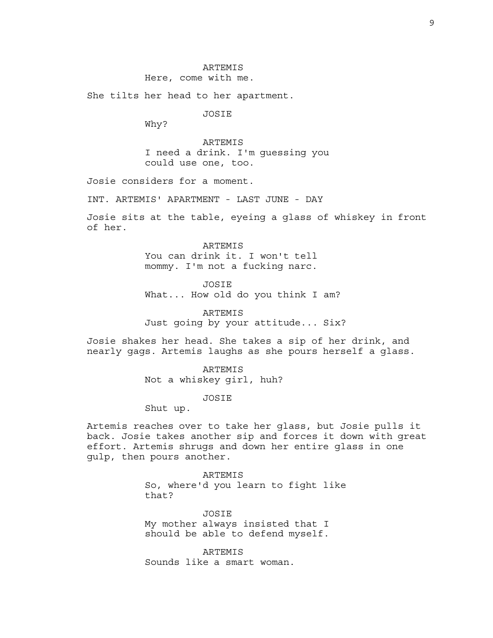## ARTEMIS

Here, come with me.

She tilts her head to her apartment.

JOSIE

Why?

ARTEMIS I need a drink. I'm guessing you could use one, too.

Josie considers for a moment.

INT. ARTEMIS' APARTMENT - LAST JUNE - DAY

Josie sits at the table, eyeing a glass of whiskey in front of her.

> ARTEMIS You can drink it. I won't tell mommy. I'm not a fucking narc.

JOSIE What... How old do you think I am?

**ARTEMIS** Just going by your attitude... Six?

Josie shakes her head. She takes a sip of her drink, and nearly gags. Artemis laughs as she pours herself a glass.

ARTEMIS

Not a whiskey girl, huh?

JOSIE

Shut up.

Artemis reaches over to take her glass, but Josie pulls it back. Josie takes another sip and forces it down with great effort. Artemis shrugs and down her entire glass in one gulp, then pours another.

> ARTEMIS So, where'd you learn to fight like that?

JOSIE My mother always insisted that I should be able to defend myself.

ARTEMIS Sounds like a smart woman.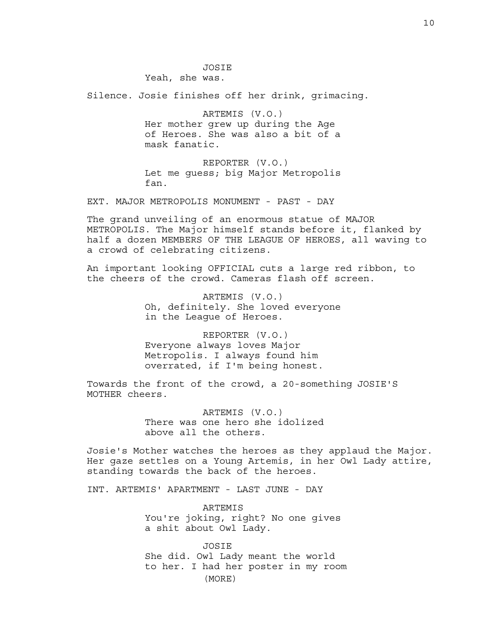JOSIE

Yeah, she was.

Silence. Josie finishes off her drink, grimacing.

ARTEMIS (V.O.) Her mother grew up during the Age of Heroes. She was also a bit of a mask fanatic.

REPORTER (V.O.) Let me guess; big Major Metropolis fan.

EXT. MAJOR METROPOLIS MONUMENT - PAST - DAY

The grand unveiling of an enormous statue of MAJOR METROPOLIS. The Major himself stands before it, flanked by half a dozen MEMBERS OF THE LEAGUE OF HEROES, all waving to a crowd of celebrating citizens.

An important looking OFFICIAL cuts a large red ribbon, to the cheers of the crowd. Cameras flash off screen.

> ARTEMIS (V.O.) Oh, definitely. She loved everyone in the League of Heroes.

REPORTER (V.O.) Everyone always loves Major Metropolis. I always found him overrated, if I'm being honest.

Towards the front of the crowd, a 20-something JOSIE'S MOTHER cheers.

> ARTEMIS (V.O.) There was one hero she idolized above all the others.

Josie's Mother watches the heroes as they applaud the Major. Her gaze settles on a Young Artemis, in her Owl Lady attire, standing towards the back of the heroes.

INT. ARTEMIS' APARTMENT - LAST JUNE - DAY

ARTEMIS You're joking, right? No one gives a shit about Owl Lady.

JOSIE She did. Owl Lady meant the world to her. I had her poster in my room (MORE)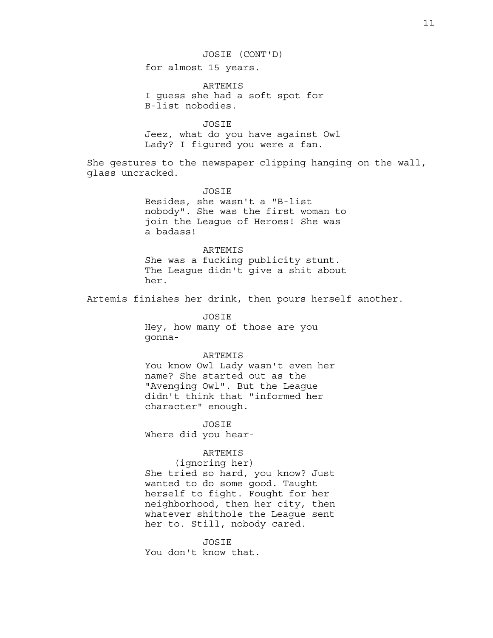# JOSIE (CONT'D)

for almost 15 years.

ARTEMIS I guess she had a soft spot for B-list nobodies.

JOSIE Jeez, what do you have against Owl Lady? I figured you were a fan.

She gestures to the newspaper clipping hanging on the wall, glass uncracked.

> JOSIE Besides, she wasn't a "B-list nobody". She was the first woman to join the League of Heroes! She was a badass!

> ARTEMIS She was a fucking publicity stunt. The League didn't give a shit about her.

Artemis finishes her drink, then pours herself another.

JOSIE Hey, how many of those are you gonna-

### ARTEMIS

You know Owl Lady wasn't even her name? She started out as the "Avenging Owl". But the League didn't think that "informed her character" enough.

JOSIE Where did you hear-

## ARTEMIS

(ignoring her) She tried so hard, you know? Just wanted to do some good. Taught herself to fight. Fought for her neighborhood, then her city, then whatever shithole the League sent her to. Still, nobody cared.

JOSIE You don't know that.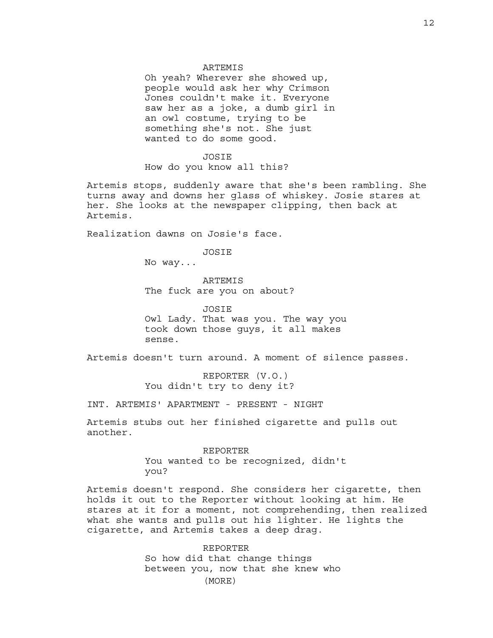#### ARTEMIS

Oh yeah? Wherever she showed up, people would ask her why Crimson Jones couldn't make it. Everyone saw her as a joke, a dumb girl in an owl costume, trying to be something she's not. She just wanted to do some good.

#### JOSIE

How do you know all this?

Artemis stops, suddenly aware that she's been rambling. She turns away and downs her glass of whiskey. Josie stares at her. She looks at the newspaper clipping, then back at Artemis.

Realization dawns on Josie's face.

JOSIE

No way...

ARTEMIS The fuck are you on about?

**JOSIE** Owl Lady. That was you. The way you took down those guys, it all makes sense.

Artemis doesn't turn around. A moment of silence passes.

REPORTER (V.O.) You didn't try to deny it?

INT. ARTEMIS' APARTMENT - PRESENT - NIGHT

Artemis stubs out her finished cigarette and pulls out another.

> REPORTER You wanted to be recognized, didn't you?

Artemis doesn't respond. She considers her cigarette, then holds it out to the Reporter without looking at him. He stares at it for a moment, not comprehending, then realized what she wants and pulls out his lighter. He lights the cigarette, and Artemis takes a deep drag.

> REPORTER So how did that change things between you, now that she knew who (MORE)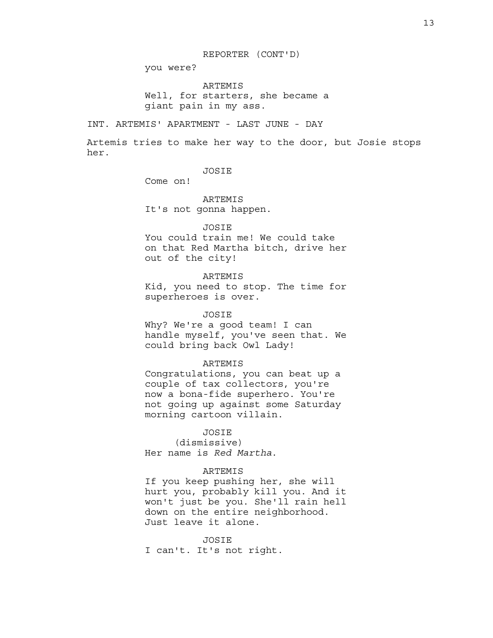#### REPORTER (CONT'D)

you were?

ARTEMIS Well, for starters, she became a giant pain in my ass.

INT. ARTEMIS' APARTMENT - LAST JUNE - DAY

Artemis tries to make her way to the door, but Josie stops her.

## **JOSIE**

Come on!

ARTEMIS It's not gonna happen.

JOSIE

You could train me! We could take on that Red Martha bitch, drive her out of the city!

### ARTEMIS

Kid, you need to stop. The time for superheroes is over.

### JOSIE

Why? We're a good team! I can handle myself, you've seen that. We could bring back Owl Lady!

#### ARTEMIS

Congratulations, you can beat up a couple of tax collectors, you're now a bona-fide superhero. You're not going up against some Saturday morning cartoon villain.

### **JOSTE**

(dismissive) Her name is *Red Martha*.

### ARTEMIS

If you keep pushing her, she will hurt you, probably kill you. And it won't just be you. She'll rain hell down on the entire neighborhood. Just leave it alone.

JOSIE I can't. It's not right.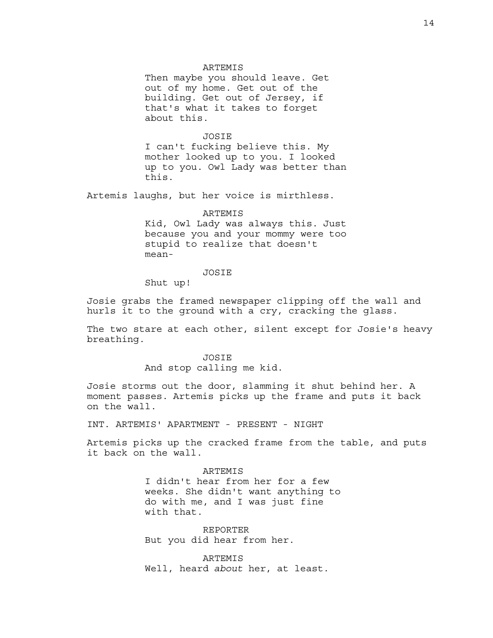#### ARTEMIS

Then maybe you should leave. Get out of my home. Get out of the building. Get out of Jersey, if that's what it takes to forget about this.

JOSIE I can't fucking believe this. My mother looked up to you. I looked up to you. Owl Lady was better than this.

Artemis laughs, but her voice is mirthless.

#### ARTEMIS

Kid, Owl Lady was always this. Just because you and your mommy were too stupid to realize that doesn't mean-

## JOSIE

Shut up!

Josie grabs the framed newspaper clipping off the wall and hurls it to the ground with a cry, cracking the glass.

The two stare at each other, silent except for Josie's heavy breathing.

> JOSIE And stop calling me kid.

Josie storms out the door, slamming it shut behind her. A moment passes. Artemis picks up the frame and puts it back on the wall.

INT. ARTEMIS' APARTMENT - PRESENT - NIGHT

Artemis picks up the cracked frame from the table, and puts it back on the wall.

> ARTEMIS I didn't hear from her for a few weeks. She didn't want anything to do with me, and I was just fine with that.

REPORTER But you did hear from her.

ARTEMIS Well, heard *about* her, at least.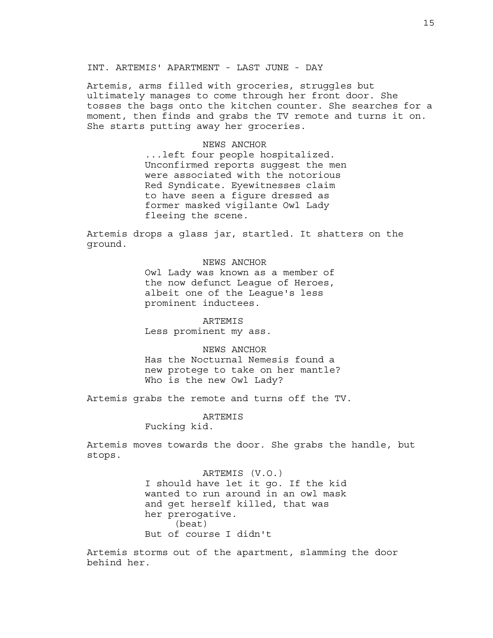INT. ARTEMIS' APARTMENT - LAST JUNE - DAY

Artemis, arms filled with groceries, struggles but ultimately manages to come through her front door. She tosses the bags onto the kitchen counter. She searches for a moment, then finds and grabs the TV remote and turns it on. She starts putting away her groceries.

#### NEWS ANCHOR

...left four people hospitalized. Unconfirmed reports suggest the men were associated with the notorious Red Syndicate. Eyewitnesses claim to have seen a figure dressed as former masked vigilante Owl Lady fleeing the scene.

Artemis drops a glass jar, startled. It shatters on the ground.

### NEWS ANCHOR

Owl Lady was known as a member of the now defunct League of Heroes, albeit one of the League's less prominent inductees.

ARTEMIS Less prominent my ass.

#### NEWS ANCHOR

Has the Nocturnal Nemesis found a new protege to take on her mantle? Who is the new Owl Lady?

Artemis grabs the remote and turns off the TV.

ARTEMIS Fucking kid.

Artemis moves towards the door. She grabs the handle, but stops.

> ARTEMIS (V.O.) I should have let it go. If the kid wanted to run around in an owl mask and get herself killed, that was her prerogative. (beat) But of course I didn't

Artemis storms out of the apartment, slamming the door behind her.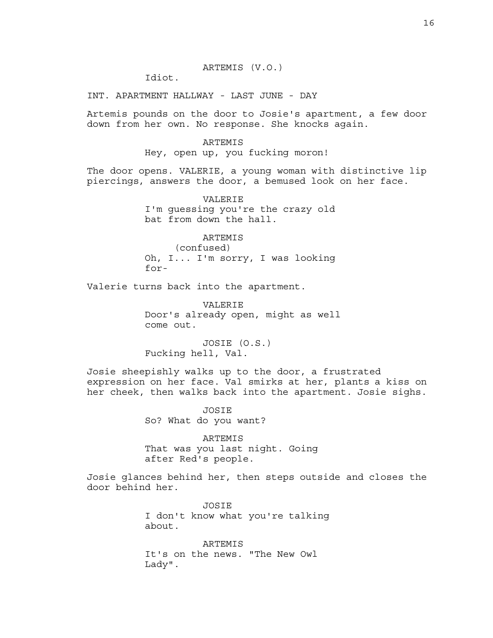### ARTEMIS (V.O.)

Idiot.

INT. APARTMENT HALLWAY - LAST JUNE - DAY

Artemis pounds on the door to Josie's apartment, a few door down from her own. No response. She knocks again.

### ARTEMIS

Hey, open up, you fucking moron!

The door opens. VALERIE, a young woman with distinctive lip piercings, answers the door, a bemused look on her face.

> VALERIE I'm guessing you're the crazy old bat from down the hall.

> ARTEMIS (confused) Oh, I... I'm sorry, I was looking for-

Valerie turns back into the apartment.

VALERIE Door's already open, might as well come out.

JOSIE (O.S.) Fucking hell, Val.

Josie sheepishly walks up to the door, a frustrated expression on her face. Val smirks at her, plants a kiss on her cheek, then walks back into the apartment. Josie sighs.

> JOSIE So? What do you want?

ARTEMIS That was you last night. Going after Red's people.

Josie glances behind her, then steps outside and closes the door behind her.

> JOSIE I don't know what you're talking about.

ARTEMIS It's on the news. "The New Owl Lady".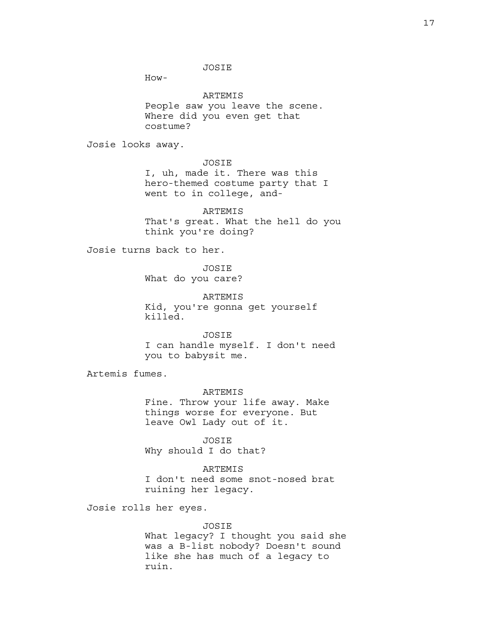JOSIE

How-

ARTEMIS People saw you leave the scene. Where did you even get that costume?

Josie looks away.

JOSIE I, uh, made it. There was this hero-themed costume party that I went to in college, and-

ARTEMIS That's great. What the hell do you think you're doing?

Josie turns back to her.

JOSIE What do you care?

ARTEMIS Kid, you're gonna get yourself killed.

JOSIE I can handle myself. I don't need you to babysit me.

Artemis fumes.

ARTEMIS Fine. Throw your life away. Make things worse for everyone. But leave Owl Lady out of it.

JOSIE Why should I do that?

ARTEMIS I don't need some snot-nosed brat ruining her legacy.

Josie rolls her eyes.

JOSIE

What legacy? I thought you said she was a B-list nobody? Doesn't sound like she has much of a legacy to ruin.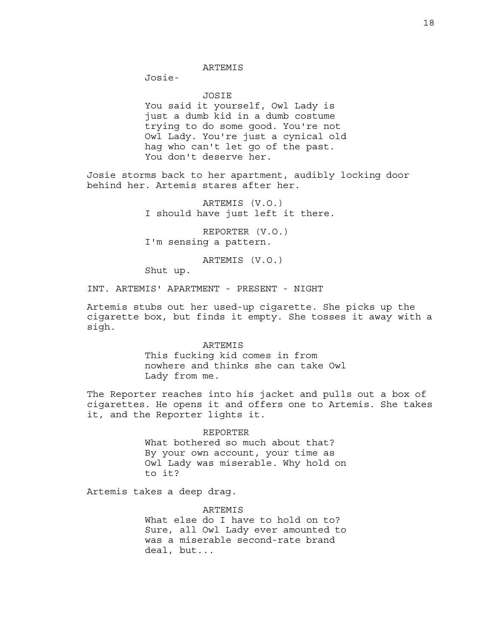#### ARTEMIS

Josie-

JOSIE You said it yourself, Owl Lady is just a dumb kid in a dumb costume trying to do some good. You're not Owl Lady. You're just a cynical old hag who can't let go of the past. You don't deserve her.

Josie storms back to her apartment, audibly locking door behind her. Artemis stares after her.

> ARTEMIS (V.O.) I should have just left it there.

REPORTER (V.O.) I'm sensing a pattern.

ARTEMIS (V.O.)

Shut up.

INT. ARTEMIS' APARTMENT - PRESENT - NIGHT

Artemis stubs out her used-up cigarette. She picks up the cigarette box, but finds it empty. She tosses it away with a sigh.

ARTEMIS

This fucking kid comes in from nowhere and thinks she can take Owl Lady from me.

The Reporter reaches into his jacket and pulls out a box of cigarettes. He opens it and offers one to Artemis. She takes it, and the Reporter lights it.

> REPORTER What bothered so much about that? By your own account, your time as Owl Lady was miserable. Why hold on to it?

Artemis takes a deep drag.

**ARTEMIS** What else do I have to hold on to? Sure, all Owl Lady ever amounted to was a miserable second-rate brand deal, but...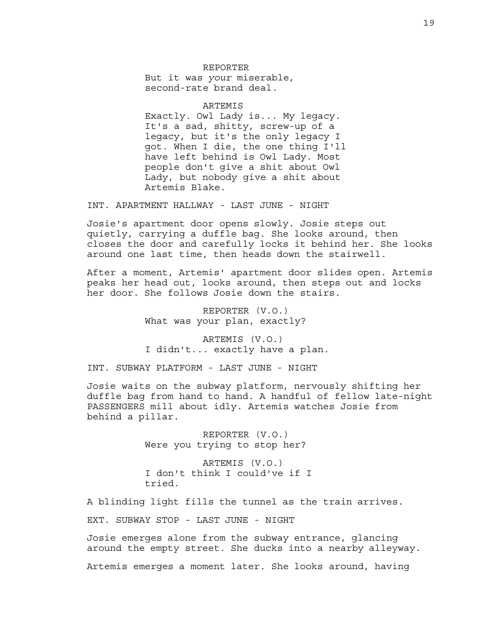## REPORTER But it was *your* miserable, second-rate brand deal.

#### ARTEMIS

Exactly. Owl Lady is... My legacy. It's a sad, shitty, screw-up of a legacy, but it's the only legacy I got. When I die, the one thing I'll have left behind is Owl Lady. Most people don't give a shit about Owl Lady, but nobody give a shit about Artemis Blake.

INT. APARTMENT HALLWAY - LAST JUNE - NIGHT

Josie's apartment door opens slowly. Josie steps out quietly, carrying a duffle bag. She looks around, then closes the door and carefully locks it behind her. She looks around one last time, then heads down the stairwell.

After a moment, Artemis' apartment door slides open. Artemis peaks her head out, looks around, then steps out and locks her door. She follows Josie down the stairs.

> REPORTER (V.O.) What was your plan, exactly?

ARTEMIS (V.O.) I didn't... exactly have a plan.

INT. SUBWAY PLATFORM - LAST JUNE - NIGHT

Josie waits on the subway platform, nervously shifting her duffle bag from hand to hand. A handful of fellow late-night PASSENGERS mill about idly. Artemis watches Josie from behind a pillar.

> REPORTER (V.O.) Were you trying to stop her?

ARTEMIS (V.O.) I don't think I could've if I tried.

A blinding light fills the tunnel as the train arrives.

EXT. SUBWAY STOP - LAST JUNE - NIGHT

Josie emerges alone from the subway entrance, glancing around the empty street. She ducks into a nearby alleyway.

Artemis emerges a moment later. She looks around, having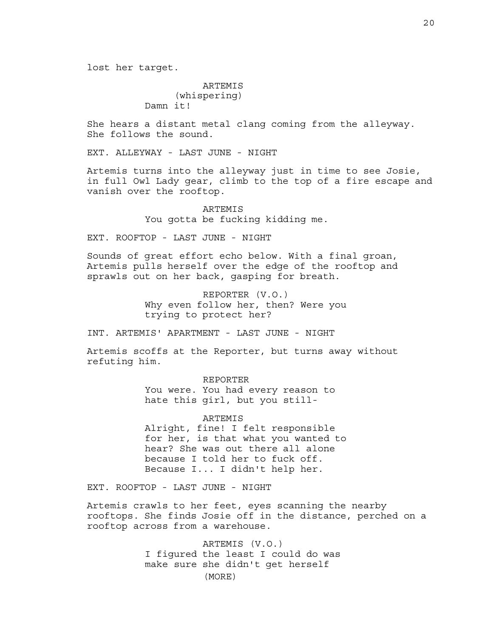lost her target.

## ARTEMIS (whispering) Damn it!

She hears a distant metal clang coming from the alleyway. She follows the sound.

EXT. ALLEYWAY - LAST JUNE - NIGHT

Artemis turns into the alleyway just in time to see Josie, in full Owl Lady gear, climb to the top of a fire escape and vanish over the rooftop.

> **ARTEMIS** You gotta be fucking kidding me.

EXT. ROOFTOP - LAST JUNE - NIGHT

Sounds of great effort echo below. With a final groan, Artemis pulls herself over the edge of the rooftop and sprawls out on her back, gasping for breath.

> REPORTER (V.O.) Why even follow her, then? Were you trying to protect her?

INT. ARTEMIS' APARTMENT - LAST JUNE - NIGHT

Artemis scoffs at the Reporter, but turns away without refuting him.

> REPORTER You were. You had every reason to hate this girl, but you still-

ARTEMIS Alright, fine! I felt responsible for her, is that what you wanted to hear? She was out there all alone because I told her to fuck off. Because I... I didn't help her.

EXT. ROOFTOP - LAST JUNE - NIGHT

Artemis crawls to her feet, eyes scanning the nearby rooftops. She finds Josie off in the distance, perched on a rooftop across from a warehouse.

> ARTEMIS (V.O.) I figured the least I could do was make sure she didn't get herself (MORE)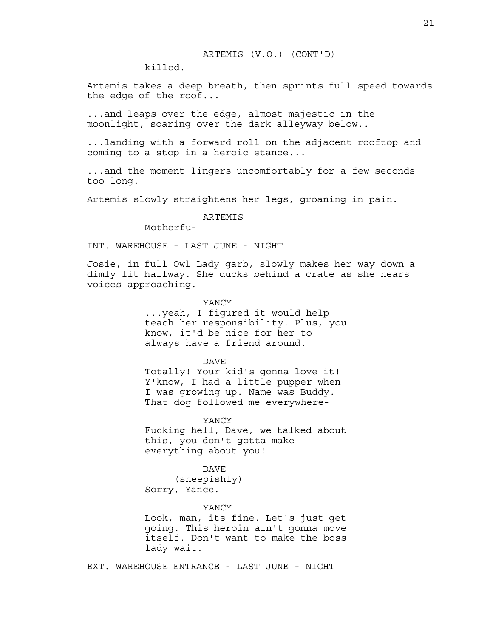killed.

Artemis takes a deep breath, then sprints full speed towards the edge of the roof...

...and leaps over the edge, almost majestic in the moonlight, soaring over the dark alleyway below..

...landing with a forward roll on the adjacent rooftop and coming to a stop in a heroic stance...

...and the moment lingers uncomfortably for a few seconds too long.

Artemis slowly straightens her legs, groaning in pain.

## ARTEMIS

Motherfu-

INT. WAREHOUSE - LAST JUNE - NIGHT

Josie, in full Owl Lady garb, slowly makes her way down a dimly lit hallway. She ducks behind a crate as she hears voices approaching.

### YANCY

...yeah, I figured it would help teach her responsibility. Plus, you know, it'd be nice for her to always have a friend around.

DAVE

Totally! Your kid's gonna love it! Y'know, I had a little pupper when I was growing up. Name was Buddy. That dog followed me everywhere-

YANCY

Fucking hell, Dave, we talked about this, you don't gotta make everything about you!

## DAVE

(sheepishly) Sorry, Yance.

#### YANCY

Look, man, its fine. Let's just get going. This heroin ain't gonna move itself. Don't want to make the boss lady wait.

EXT. WAREHOUSE ENTRANCE - LAST JUNE - NIGHT